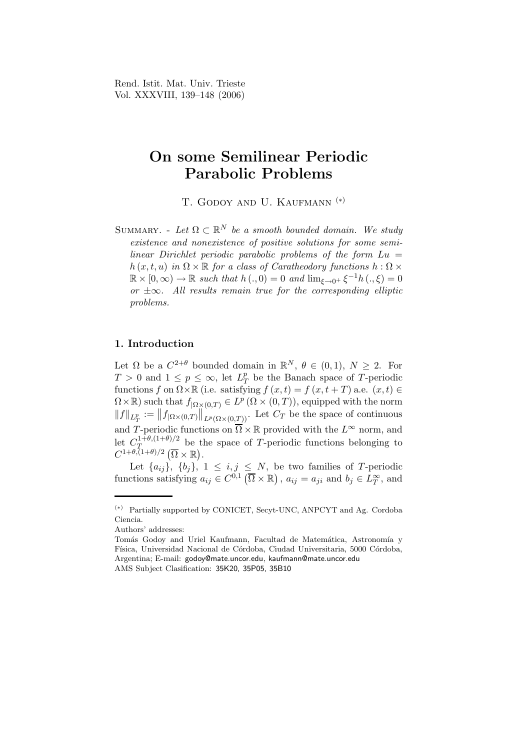Rend. Istit. Mat. Univ. Trieste Vol. XXXVIII, 139–148 (2006)

# On some Semilinear Periodic Parabolic Problems

T. GODOY AND U. KAUFMANN<sup>(\*)</sup>

SUMMARY. - Let  $\Omega \subset \mathbb{R}^N$  be a smooth bounded domain. We study existence and nonexistence of positive solutions for some semilinear Dirichlet periodic parabolic problems of the form  $Lu =$  $h(x, t, u)$  in  $\Omega \times \mathbb{R}$  for a class of Caratheodory functions  $h : \Omega \times$  $\mathbb{R} \times [0, \infty) \to \mathbb{R}$  such that  $h(., 0) = 0$  and  $\lim_{\xi \to 0^+} \xi^{-1}h(., \xi) = 0$ or  $\pm\infty$ . All results remain true for the corresponding elliptic problems.

## 1. Introduction

Let  $\Omega$  be a  $C^{2+\theta}$  bounded domain in  $\mathbb{R}^N$ ,  $\theta \in (0,1)$ ,  $N \geq 2$ . For  $T > 0$  and  $1 \leq p \leq \infty$ , let  $L^p$  $T<sup>p</sup>$  be the Banach space of T-periodic functions f on  $\Omega \times \mathbb{R}$  (i.e. satisfying  $f(x,t) = f(x,t+T)$  a.e.  $(x,t) \in$  $\Omega \times \mathbb{R}$ ) such that  $f_{|\Omega \times (0,T)} \in L^p(\Omega \times (0,T))$ , equipped with the norm  $||f||_{L^p_T} := ||f_{\vert \Omega \times (0,T)}||_{L^p(\Omega \times (0,T))}$ . Let  $C_T$  be the space of continuous and T-periodic functions on  $\overline{\Omega} \times \mathbb{R}$  provided with the  $L^{\infty}$  norm, and let  $C_T^{1+\theta,(1+\theta)/2}$  $T_{1+\theta,(1+\theta)/2}$  be the space of T-periodic functions belonging to  $C^{1+\theta,(1+\theta)/2}(\overline{\Omega}\times\mathbb{R}).$ 

Let  $\{a_{ij}\},\ \{b_j\},\ 1\leq i,j\leq N,$  be two families of T-periodic functions satisfying  $a_{ij} \in C^{0,1}(\overline{\Omega} \times \mathbb{R})$ ,  $a_{ij} = a_{ji}$  and  $b_j \in L_T^{\infty}$ , and

<sup>(</sup>∗) Partially supported by CONICET, Secyt-UNC, ANPCYT and Ag. Cordoba Ciencia.

Authors' addresses:

Tomás Godoy and Uriel Kaufmann, Facultad de Matemática, Astronomía y Física, Universidad Nacional de Córdoba, Ciudad Universitaria, 5000 Córdoba, Argentina; E-mail: godoy@mate.uncor.edu, kaufmann@mate.uncor.edu AMS Subject Clasification: 35K20, 35P05, 35B10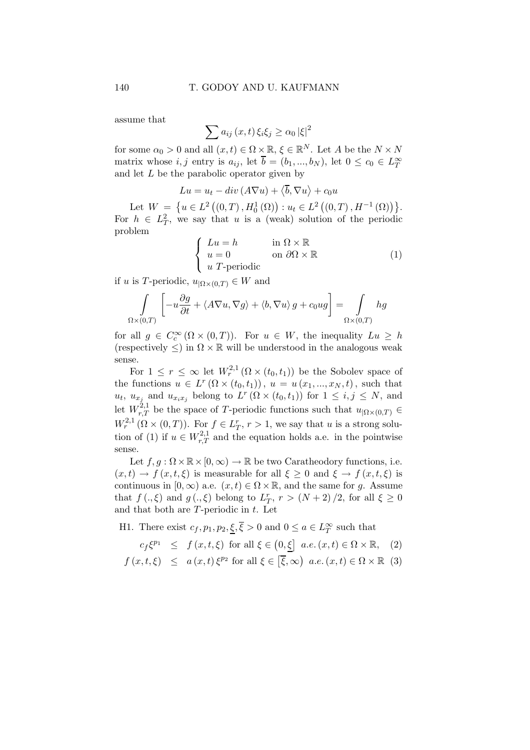assume that

$$
\sum a_{ij}(x,t)\,\xi_i\xi_j\geq\alpha_0\,|\xi|^2
$$

for some  $\alpha_0 > 0$  and all  $(x, t) \in \Omega \times \mathbb{R}, \xi \in \mathbb{R}^N$ . Let A be the  $N \times N$ matrix whose  $i, j$  entry is  $a_{ij}$ , let  $\overline{b} = (b_1, ..., b_N)$ , let  $0 \le c_0 \in L_T^{\infty}$ and let  $L$  be the parabolic operator given by

$$
Lu = u_t - div (A\nabla u) + \langle \overline{b}, \nabla u \rangle + c_0 u
$$

Let  $W = \{u \in L^2((0,T), H_0^1(\Omega)) : u_t \in L^2((0,T), H^{-1}(\Omega))\}.$ For  $h \in L_T^2$ , we say that u is a (weak) solution of the periodic problem

$$
\begin{cases}\nLu = h & \text{in } \Omega \times \mathbb{R} \\
u = 0 & \text{on } \partial\Omega \times \mathbb{R} \\
u \text{ } T \text{-periodic} & \n\end{cases} \tag{1}
$$

if u is T-periodic,  $u_{\Omega \times (0,T)} \in W$  and

$$
\int_{\Omega \times (0,T)} \left[ -u \frac{\partial g}{\partial t} + \langle A \nabla u, \nabla g \rangle + \langle b, \nabla u \rangle g + c_0 u g \right] = \int_{\Omega \times (0,T)} h g
$$

for all  $g \in C_c^{\infty}(\Omega \times (0,T))$ . For  $u \in W$ , the inequality  $Lu \geq h$ (respectively  $\leq$ ) in  $\Omega \times \mathbb{R}$  will be understood in the analogous weak sense.

For  $1 \leq r \leq \infty$  let  $W_r^{2,1}(\Omega \times (t_0, t_1))$  be the Sobolev space of the functions  $u \in L^r(\Omega \times (t_0, t_1)), u = u(x_1, ..., x_N, t)$ , such that  $u_t$ ,  $u_{x_j}$  and  $u_{x_ix_j}$  belong to  $L^r(\Omega \times (t_0,t_1))$  for  $1 \leq i,j \leq N$ , and let  $W^{2,1}_{r,T}$  be the space of T-periodic functions such that  $u_{|\Omega \times (0,T)} \in$  $W_r^{2,1}(\Omega\times(0,T))$ . For  $f\in L_T^r$ ,  $r>1$ , we say that u is a strong solution of (1) if  $u \in W^{2,1}_{r,T}$  and the equation holds a.e. in the pointwise sense.

Let  $f, g : \Omega \times \mathbb{R} \times [0, \infty) \to \mathbb{R}$  be two Caratheodory functions, i.e.  $(x, t) \to f(x, t, \xi)$  is measurable for all  $\xi \geq 0$  and  $\xi \to f(x, t, \xi)$  is continuous in  $[0, \infty)$  a.e.  $(x, t) \in \Omega \times \mathbb{R}$ , and the same for g. Assume that  $f(.,\xi)$  and  $g(.,\xi)$  belong to  $L^r_T$ ,  $r > (N+2)/2$ , for all  $\xi \ge 0$ and that both are  $T$ -periodic in  $t$ . Let

H1. There exist  $c_f, p_1, p_2, \underline{\xi}, \overline{\xi} > 0$  and  $0 \le a \in L_T^{\infty}$  such that

$$
c_f \xi^{p_1} \leq f(x, t, \xi) \text{ for all } \xi \in \left(0, \underline{\xi}\right] \ a.e. \ (x, t) \in \Omega \times \mathbb{R}, \tag{2}
$$

$$
f(x, t, \xi) \leq a(x, t) \xi^{p_2}
$$
 for all  $\xi \in [\overline{\xi}, \infty)$  a.e.  $(x, t) \in \Omega \times \mathbb{R}$  (3)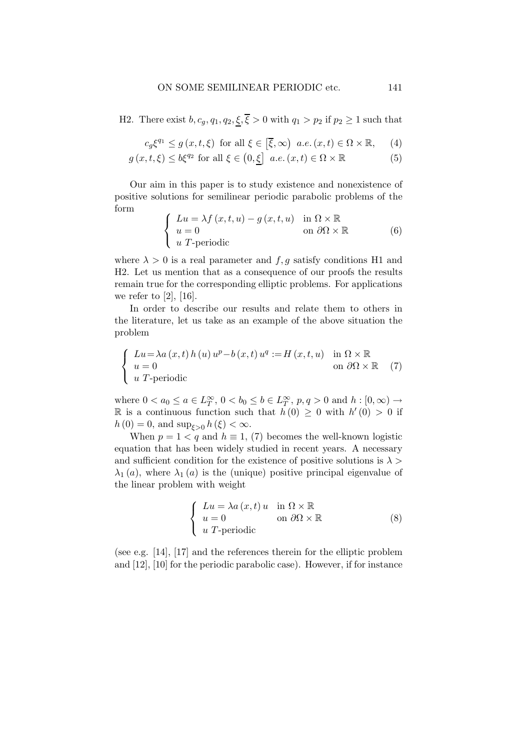H2. There exist  $b, c_g, q_1, q_2, \xi, \overline{\xi} > 0$  with  $q_1 > p_2$  if  $p_2 \ge 1$  such that

$$
c_g \xi^{q_1} \le g(x, t, \xi) \text{ for all } \xi \in [\overline{\xi}, \infty) \text{ a.e. } (x, t) \in \Omega \times \mathbb{R}, \quad (4)
$$

$$
g(x, t, \xi) \le b\xi^{q_2} \text{ for all } \xi \in (0, \xi] \ \ a.e. (x, t) \in \Omega \times \mathbb{R} \tag{5}
$$

Our aim in this paper is to study existence and nonexistence of positive solutions for semilinear periodic parabolic problems of the form  $\sqrt{ }$ 

$$
\begin{cases}\nLu = \lambda f(x, t, u) - g(x, t, u) & \text{in } \Omega \times \mathbb{R} \\
u = 0 & \text{on } \partial\Omega \times \mathbb{R} \\
u \text{ } T\text{-periodic} & \text{(6)}\n\end{cases}
$$

where  $\lambda > 0$  is a real parameter and  $f, g$  satisfy conditions H1 and H2. Let us mention that as a consequence of our proofs the results remain true for the corresponding elliptic problems. For applications we refer to [2], [16].

In order to describe our results and relate them to others in the literature, let us take as an example of the above situation the problem

$$
\begin{cases}\nLu = \lambda a(x, t) h(u) u^{p} - b(x, t) u^{q} := H(x, t, u) & \text{in } \Omega \times \mathbb{R} \\
u = 0 & \text{on } \partial\Omega \times \mathbb{R} \\
u \text{ } T \text{-periodic}\n\end{cases}
$$
\n(7)

where  $0 < a_0 \le a \in L_T^{\infty}$ ,  $0 < b_0 \le b \in L_T^{\infty}$ ,  $p, q > 0$  and  $h : [0, \infty) \rightarrow$ R is a continuous function such that  $h(0) \geq 0$  with  $h'(0) > 0$  if  $h(0) = 0$ , and  $\sup_{\xi > 0} h(\xi) < \infty$ .

When  $p = 1 < q$  and  $h \equiv 1$ , (7) becomes the well-known logistic equation that has been widely studied in recent years. A necessary and sufficient condition for the existence of positive solutions is  $\lambda$  $\lambda_1(a)$ , where  $\lambda_1(a)$  is the (unique) positive principal eigenvalue of the linear problem with weight

$$
\begin{cases}\nLu = \lambda a(x, t) u & \text{in } \Omega \times \mathbb{R} \\
u = 0 & \text{on } \partial\Omega \times \mathbb{R} \\
u \text{ } T\text{-periodic} & \n\end{cases}
$$
\n(8)

(see e.g. [14], [17] and the references therein for the elliptic problem and [12], [10] for the periodic parabolic case). However, if for instance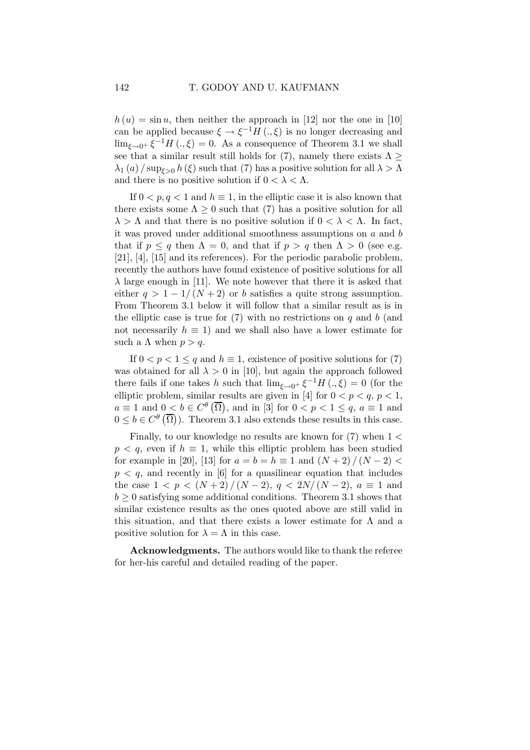$h(u) = \sin u$ , then neither the approach in [12] nor the one in [10] can be applied because  $\xi \to \xi^{-1}H(\cdot,\xi)$  is no longer decreasing and  $\lim_{\xi \to 0^+} \xi^{-1} H \left( ., \xi \right) = 0$ . As a consequence of Theorem 3.1 we shall see that a similar result still holds for (7), namely there exists  $\Lambda \geq$  $\lambda_1(a)$  / sup<sub> $\xi>0$ </sub> h( $\xi$ ) such that (7) has a positive solution for all  $\lambda > \Lambda$ and there is no positive solution if  $0 < \lambda < \Lambda$ .

If  $0 < p, q < 1$  and  $h \equiv 1$ , in the elliptic case it is also known that there exists some  $\Lambda \geq 0$  such that (7) has a positive solution for all  $\lambda > \Lambda$  and that there is no positive solution if  $0 < \lambda < \Lambda$ . In fact, it was proved under additional smoothness assumptions on a and b that if  $p \leq q$  then  $\Lambda = 0$ , and that if  $p > q$  then  $\Lambda > 0$  (see e.g. [21], [4], [15] and its references). For the periodic parabolic problem, recently the authors have found existence of positive solutions for all  $\lambda$  large enough in [11]. We note however that there it is asked that either  $q > 1 - 1/(N + 2)$  or b satisfies a quite strong assumption. From Theorem 3.1 below it will follow that a similar result as is in the elliptic case is true for  $(7)$  with no restrictions on q and b (and not necessarily  $h \equiv 1$ ) and we shall also have a lower estimate for such a  $\Lambda$  when  $p > q$ .

If  $0 < p < 1 \leq q$  and  $h \equiv 1$ , existence of positive solutions for (7) was obtained for all  $\lambda > 0$  in [10], but again the approach followed there fails if one takes h such that  $\lim_{\xi \to 0^+} \xi^{-1} H \left( ., \xi \right) = 0$  (for the elliptic problem, similar results are given in [4] for  $0 < p < q$ ,  $p < 1$ ,  $a \equiv 1$  and  $0 < b \in C^{\theta}(\overline{\Omega})$ , and in [3] for  $0 < p < 1 \le q$ ,  $a \equiv 1$  and  $0 \leq b \in C^{\theta}(\overline{\Omega})$ . Theorem 3.1 also extends these results in this case.

Finally, to our knowledge no results are known for  $(7)$  when  $1 <$  $p < q$ , even if  $h \equiv 1$ , while this elliptic problem has been studied for example in [20], [13] for  $a = b = h \equiv 1$  and  $(N + 2)/(N - 2)$  $p < q$ , and recently in [6] for a quasilinear equation that includes the case  $1 < p < (N+2)/(N-2), q < 2N/(N-2), a \equiv 1$  and  $b \geq 0$  satisfying some additional conditions. Theorem 3.1 shows that similar existence results as the ones quoted above are still valid in this situation, and that there exists a lower estimate for  $\Lambda$  and a positive solution for  $\lambda = \Lambda$  in this case.

Acknowledgments. The authors would like to thank the referee for her-his careful and detailed reading of the paper.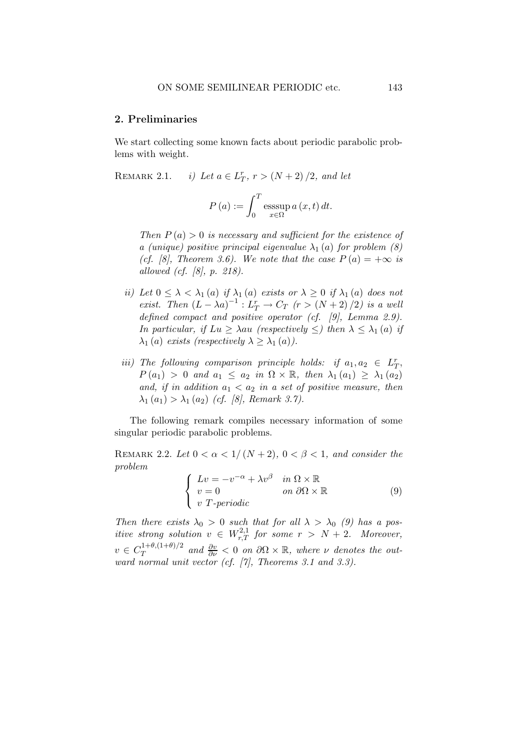### 2. Preliminaries

We start collecting some known facts about periodic parabolic problems with weight.

REMARK 2.1.  $r_{T}$ ,  $r > (N + 2) / 2$ , and let

$$
P(a) := \int_0^T \operatorname{esssup}_{x \in \Omega} a(x, t) dt.
$$

Then  $P(a) > 0$  is necessary and sufficient for the existence of a (unique) positive principal eigenvalue  $\lambda_1(a)$  for problem (8) (cf. [8], Theorem 3.6). We note that the case  $P(a) = +\infty$  is allowed (cf. [8], p. 218).

- ii) Let  $0 \leq \lambda < \lambda_1(a)$  if  $\lambda_1(a)$  exists or  $\lambda \geq 0$  if  $\lambda_1(a)$  does not exist. Then  $(L - \lambda a)^{-1}$ :  $L_T^r \to C_T$   $(r > (N + 2)/2)$  is a well defined compact and positive operator (cf. [9], Lemma 2.9). In particular, if  $Lu \geq \lambda au$  (respectively  $\leq$ ) then  $\lambda \leq \lambda_1(a)$  if  $\lambda_1(a)$  exists (respectively  $\lambda \geq \lambda_1(a)$ ).
- iii) The following comparison principle holds: if  $a_1, a_2 \in L_T^r$ ,  $P(a_1) > 0$  and  $a_1 \le a_2$  in  $\Omega \times \mathbb{R}$ , then  $\lambda_1(a_1) \ge \lambda_1(a_2)$ and, if in addition  $a_1 < a_2$  in a set of positive measure, then  $\lambda_1(a_1) > \lambda_1(a_2)$  (cf. [8], Remark 3.7).

The following remark compiles necessary information of some singular periodic parabolic problems.

REMARK 2.2. Let  $0 < \alpha < 1/(N+2)$ ,  $0 < \beta < 1$ , and consider the problem

$$
\begin{cases}\nLv = -v^{-\alpha} + \lambda v^{\beta} & \text{in } \Omega \times \mathbb{R} \\
v = 0 & \text{on } \partial\Omega \times \mathbb{R} \\
v \ T\text{-periodic} & \n\end{cases} \tag{9}
$$

Then there exists  $\lambda_0 > 0$  such that for all  $\lambda > \lambda_0$  (9) has a positive strong solution  $v oldsymbol{\in} W^{2,1}_{r,T}$  for some  $r > N + 2$ . Moreover,  $v \in C_T^{1+\theta,(1+\theta)/2}$  $\frac{d\Omega}{d\tau}^{1+\theta,(1+\theta)/2}$  and  $\frac{\partial v}{\partial \nu} < 0$  on  $\partial \Omega \times \mathbb{R}$ , where  $\nu$  denotes the outward normal unit vector (cf. [7], Theorems 3.1 and 3.3).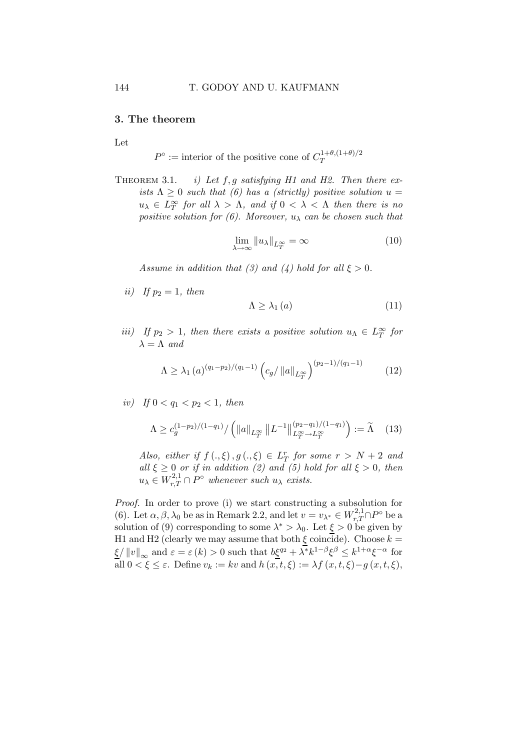### 3. The theorem

Let

 $P^{\circ}$  := interior of the positive cone of  $C_T^{1+\theta,(1+\theta)/2}$ T

THEOREM 3.1. *i)* Let  $f, g$  satisfying H1 and H2. Then there exists  $\Lambda \geq 0$  such that (6) has a (strictly) positive solution  $u =$  $u_{\lambda} \in L^{\infty}_{T}$  for all  $\lambda > \Lambda$ , and if  $0 < \lambda < \Lambda$  then there is no positive solution for (6). Moreover,  $u_{\lambda}$  can be chosen such that

$$
\lim_{\lambda \to \infty} \|u_{\lambda}\|_{L^{\infty}_T} = \infty
$$
\n(10)

Assume in addition that (3) and (4) hold for all  $\xi > 0$ .

ii) If  $p_2 = 1$ , then

$$
\Lambda \geq \lambda_1 \left( a \right) \tag{11}
$$

iii) If  $p_2 > 1$ , then there exists a positive solution  $u_{\Lambda} \in L^{\infty}_T$  for  $\lambda = \Lambda$  and

$$
\Lambda \ge \lambda_1 (a)^{(q_1 - p_2)/(q_1 - 1)} \left( c_g / \|a\|_{L^\infty_T} \right)^{(p_2 - 1)/(q_1 - 1)} \tag{12}
$$

iv) If  $0 < q_1 < p_2 < 1$ , then

$$
\Lambda \ge c_g^{(1-p_2)/(1-q_1)}/\left(\|a\|_{L^\infty_T} \|L^{-1}\|_{L^\infty_T \to L^\infty_T}^{(p_2-q_1)/(1-q_1)}\right) := \widetilde{\Lambda} \quad (13)
$$

Also, either if  $f(.,\xi), g(.,\xi) \in L^r_T$  for some  $r > N + 2$  and all  $\xi \geq 0$  or if in addition (2) and (5) hold for all  $\xi > 0$ , then  $u_{\lambda} \in W^{2,1}_{r,T} \cap P^{\circ}$  whenever such  $u_{\lambda}$  exists.

Proof. In order to prove (i) we start constructing a subsolution for (6). Let  $\alpha, \beta, \lambda_0$  be as in Remark 2.2, and let  $v = v_{\lambda^*} \in W^{2,1}_{r,T} \cap P^{\circ}$  be a solution of (9) corresponding to some  $\lambda^* > \lambda_0$ . Let  $\xi > 0$  be given by H1 and H2 (clearly we may assume that both  $\xi$  coincide). Choose  $k =$  $\underline{\xi}/\|v\|_{\infty}$  and  $\varepsilon = \varepsilon(k) > 0$  such that  $b\underline{\xi}^{q_2} + \lambda^* k^{1-\beta} \xi^{\beta} \leq k^{1+\alpha} \xi^{-\alpha}$  for all  $0 < \xi \leq \varepsilon$ . Define  $v_k := kv$  and  $h(x, t, \xi) := \lambda f(x, t, \xi) - g(x, t, \xi)$ ,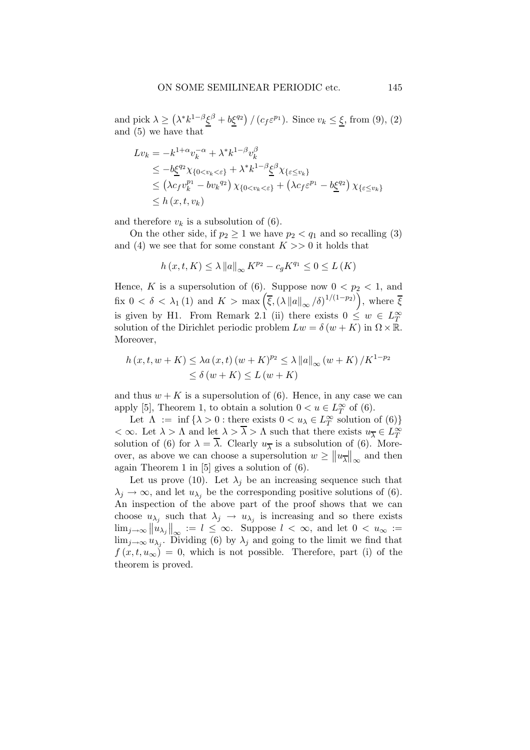and pick  $\lambda \geq (\lambda^* k^{1-\beta} \xi^{\beta} + b \xi^{q_2}) / (c_f \varepsilon^{p_1})$ . Since  $v_k \leq \xi$ , from (9), (2) and (5) we have that

$$
Lv_k = -k^{1+\alpha}v_k^{-\alpha} + \lambda^* k^{1-\beta}v_k^{\beta}
$$
  
\n
$$
\leq -b\xi^{q_2}\chi_{\{0  
\n
$$
\leq (\lambda c_f v_k^{p_1} - bv_k^{q_2})\chi_{\{0  
\n
$$
\leq h(x, t, v_k)
$$
$$
$$

and therefore  $v_k$  is a subsolution of (6).

On the other side, if  $p_2 \geq 1$  we have  $p_2 < q_1$  and so recalling (3) and (4) we see that for some constant  $K \gg 0$  it holds that

$$
h\left(x,t,K\right)\leq\lambda\left\Vert a\right\Vert _{\infty}K^{p_{2}}-c_{g}K^{q_{1}}\leq0\leq L\left(K\right)
$$

Hence, K is a supersolution of (6). Suppose now  $0 < p_2 < 1$ , and fix  $0 < \delta < \lambda_1(1)$  and  $K > \max\left(\overline{\xi}, \left(\lambda \|a\|_{\infty}/\delta\right)^{1/(1-p_2)}\right)$ , where  $\overline{\xi}$ is given by H1. From Remark 2.1 (ii) there exists  $0 \leq w \in L^{\infty}_T$ solution of the Dirichlet periodic problem  $Lw = \delta(w + K)$  in  $\Omega \times \mathbb{R}$ . Moreover,

$$
h(x,t,w+K) \leq \lambda a(x,t) (w+K)^{p_2} \leq \lambda ||a||_{\infty} (w+K) / K^{1-p_2}
$$
  
 
$$
\leq \delta (w+K) \leq L (w+K)
$$

and thus  $w + K$  is a supersolution of (6). Hence, in any case we can apply [5], Theorem 1, to obtain a solution  $0 < u \in L^{\infty}_T$  of (6).

Let  $\Lambda := \inf \{ \lambda > 0 : \text{there exists } 0 < u_{\lambda} \in L_T^{\infty} \text{ solution of (6)} \}$  $<\infty$ . Let  $\lambda > \Lambda$  and let  $\lambda > \overline{\lambda} > \Lambda$  such that there exists  $u_{\overline{\lambda}} \in L^{\infty}_T$ solution of (6) for  $\lambda = \lambda$ . Clearly  $u_{\overline{\lambda}}$  is a subsolution of (6). Moreover, as above we can choose a supersolution  $w \ge ||u_{\overline{\lambda}}||_{\infty}$  and then again Theorem 1 in [5] gives a solution of (6).

Let us prove (10). Let  $\lambda_j$  be an increasing sequence such that  $\lambda_j \to \infty$ , and let  $u_{\lambda_j}$  be the corresponding positive solutions of (6). An inspection of the above part of the proof shows that we can choose  $u_{\lambda_j}$  such that  $\lambda_j \to u_{\lambda_j}$  is increasing and so there exists  $\lim_{j\to\infty}$   $\left\|u_{\lambda_j}\right\|_{\infty}$  :=  $l \leq \infty$ . Suppose  $l < \infty$ , and let  $0 < u_{\infty}$  :=  $\lim_{j\to\infty} u_{\lambda_j}$ . Dividing (6) by  $\lambda_j$  and going to the limit we find that  $f(x, t, u_{\infty}) = 0$ , which is not possible. Therefore, part (i) of the theorem is proved.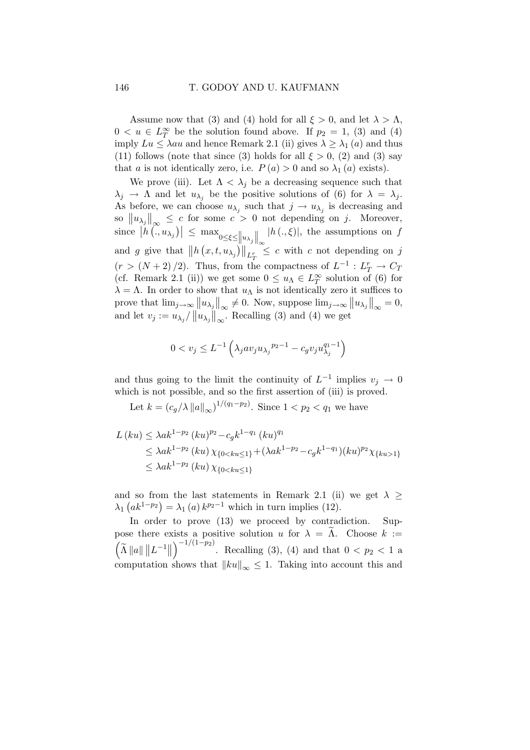Assume now that (3) and (4) hold for all  $\xi > 0$ , and let  $\lambda > \Lambda$ ,  $0 < u \in L_T^{\infty}$  be the solution found above. If  $p_2 = 1$ , (3) and (4) imply  $Lu \leq \lambda au$  and hence Remark 2.1 (ii) gives  $\lambda \geq \lambda_1(a)$  and thus (11) follows (note that since (3) holds for all  $\xi > 0$ , (2) and (3) say that a is not identically zero, i.e.  $P(a) > 0$  and so  $\lambda_1(a)$  exists).

We prove (iii). Let  $\Lambda < \lambda_j$  be a decreasing sequence such that  $\lambda_j \to \Lambda$  and let  $u_{\lambda_j}$  be the positive solutions of (6) for  $\lambda = \lambda_j$ . As before, we can choose  $u_{\lambda_j}$  such that  $j \to u_{\lambda_j}$  is decreasing and so  $||u_{\lambda_j}||_{\infty} \leq c$  for some  $c > 0$  not depending on j. Moreover, since  $|h(\cdot, u_{\lambda_j})| \leq \max_{0 \leq \xi \leq ||u_{\lambda_j}||_{\infty}}$  $|h(.,\xi)|$ , the assumptions on f and g give that  $||h(x,t,u_{\lambda_j})||_{L^r_T} \leq c$  with c not depending on j  $(r > (N+2)/2)$ . Thus, from the compactness of  $L^{-1}: L^r_T \to C_T$ (cf. Remark 2.1 (ii)) we get some  $0 \le u_{\Lambda} \in L^{\infty}_T$  solution of (6) for  $\lambda = \Lambda$ . In order to show that  $u_{\Lambda}$  is not identically zero it suffices to prove that  $\lim_{j\to\infty} ||u_{\lambda_j}||_{\infty} \neq 0$ . Now, suppose  $\lim_{j\to\infty} ||u_{\lambda_j}||_{\infty} = 0$ , and let  $v_j := u_{\lambda_j}/\left\|u_{\lambda_j}\right\|_{\infty}^{\infty}$ . Recalling (3) and (4) we get

$$
0 < v_j \leq L^{-1} \left( \lambda_j a v_j u_{\lambda_j}^{p_2 - 1} - c_g v_j u_{\lambda_j}^{q_1 - 1} \right)
$$

and thus going to the limit the continuity of  $L^{-1}$  implies  $v_j \to 0$ which is not possible, and so the first assertion of (iii) is proved.

Let  $k = (c_g/\lambda ||a||_{\infty})^{1/(q_1 - p_2)}$ . Since  $1 < p_2 < q_1$  we have

$$
L(ku) \le \lambda a k^{1-p_2} (ku)^{p_2} - c_g k^{1-q_1} (ku)^{q_1}
$$
  
\n
$$
\le \lambda a k^{1-p_2} (ku) \chi_{\{0 < ku \le 1\}} + (\lambda a k^{1-p_2} - c_g k^{1-q_1}) (ku)^{p_2} \chi_{\{ku > 1\}}
$$
  
\n
$$
\le \lambda a k^{1-p_2} (ku) \chi_{\{0 < ku \le 1\}}
$$

and so from the last statements in Remark 2.1 (ii) we get  $\lambda \geq$  $\lambda_1\left(ak^{1-p_2}\right) = \lambda_1\left(a\right)k^{p_2-1}$  which in turn implies (12).

In order to prove (13) we proceed by contradiction. Suppose there exists a positive solution u for  $\lambda = \Lambda$ . Choose  $k :=$  $\left(\widetilde{\Lambda}\left\Vert a\right\Vert \left\Vert L^{-1}\right\Vert \right.$  $\int_{0}^{-1/(1-p_2)}$ . Recalling (3), (4) and that  $0 < p_2 < 1$  a computation shows that  $||ku||_{\infty} \leq 1$ . Taking into account this and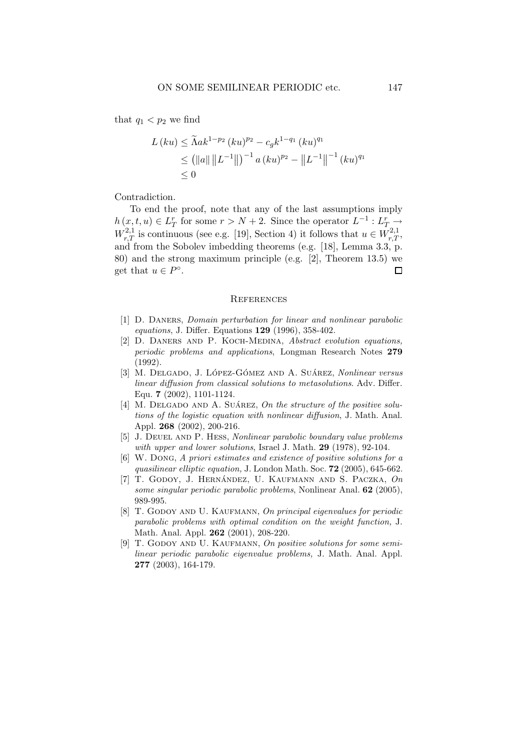that  $q_1 < p_2$  we find

$$
L(ku) \leq \tilde{\Lambda}ak^{1-p_2} (ku)^{p_2} - c_g k^{1-q_1} (ku)^{q_1}
$$
  
\n
$$
\leq (||a|| ||L^{-1}||)^{-1} a (ku)^{p_2} - ||L^{-1}||^{-1} (ku)^{q_1}
$$
  
\n
$$
\leq 0
$$

Contradiction.

To end the proof, note that any of the last assumptions imply  $h(x, t, u) \in L_T^r$  for some  $r > N + 2$ . Since the operator  $L^{-1}: L_{T_{\Omega}}^r \rightarrow$  $W^{2,1}_{r,T}$  is continuous (see e.g. [19], Section 4) it follows that  $u \in W^{2,1}_{r,T}$ , and from the Sobolev imbedding theorems (e.g. [18], Lemma 3.3, p. 80) and the strong maximum principle (e.g. [2], Theorem 13.5) we get that  $u \in P^{\circ}$ .  $\Box$ 

#### **REFERENCES**

- [1] D. Daners, Domain perturbation for linear and nonlinear parabolic equations, J. Differ. Equations 129 (1996), 358-402.
- [2] D. DANERS AND P. KOCH-MEDINA, Abstract evolution equations, periodic problems and applications, Longman Research Notes 279 (1992).
- [3] M. DELGADO, J. LÓPEZ-GÓMEZ AND A. SUÁREZ, Nonlinear versus linear diffusion from classical solutions to metasolutions. Adv. Differ. Equ. 7 (2002), 1101-1124.
- [4] M. DELGADO AND A. SUÁREZ, On the structure of the positive solutions of the logistic equation with nonlinear diffusion, J. Math. Anal. Appl. 268 (2002), 200-216.
- [5] J. Deuel and P. Hess, Nonlinear parabolic boundary value problems with upper and lower solutions, Israel J. Math. 29 (1978), 92-104.
- [6] W. Dong, A priori estimates and existence of positive solutions for a quasilinear elliptic equation, J. London Math. Soc. 72 (2005), 645-662.
- [7] T. GODOY, J. HERNÁNDEZ, U. KAUFMANN AND S. PACZKA,  $On$ some singular periodic parabolic problems, Nonlinear Anal. 62 (2005), 989-995.
- [8] T. GODOY AND U. KAUFMANN, On principal eigenvalues for periodic parabolic problems with optimal condition on the weight function, J. Math. Anal. Appl. 262 (2001), 208-220.
- [9] T. GODOY AND U. KAUFMANN, On positive solutions for some semilinear periodic parabolic eigenvalue problems, J. Math. Anal. Appl. 277 (2003), 164-179.